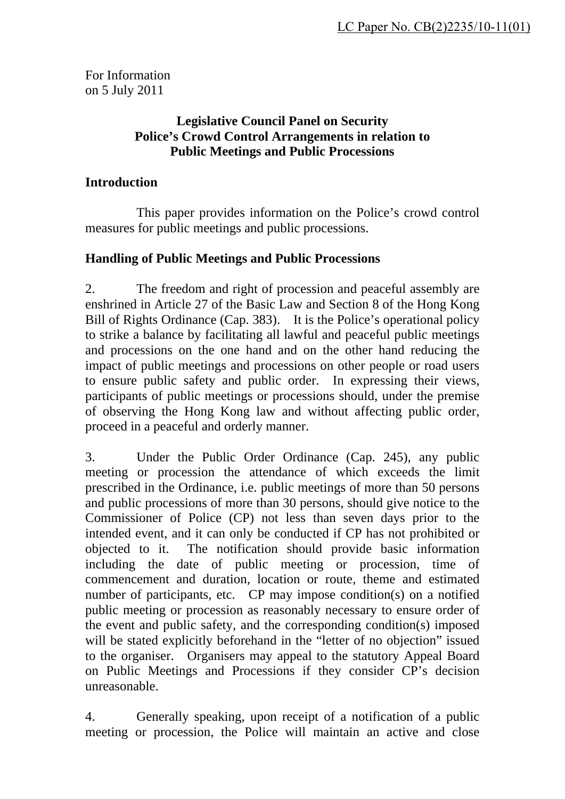For Information on 5 July 2011

### **Legislative Council Panel on Security Police's Crowd Control Arrangements in relation to Public Meetings and Public Processions**

#### **Introduction**

 This paper provides information on the Police's crowd control measures for public meetings and public processions.

### **Handling of Public Meetings and Public Processions**

2. The freedom and right of procession and peaceful assembly are enshrined in Article 27 of the Basic Law and Section 8 of the Hong Kong Bill of Rights Ordinance (Cap. 383). It is the Police's operational policy to strike a balance by facilitating all lawful and peaceful public meetings and processions on the one hand and on the other hand reducing the impact of public meetings and processions on other people or road users to ensure public safety and public order. In expressing their views, participants of public meetings or processions should, under the premise of observing the Hong Kong law and without affecting public order, proceed in a peaceful and orderly manner.

3. Under the Public Order Ordinance (Cap. 245), any public meeting or procession the attendance of which exceeds the limit prescribed in the Ordinance, i.e. public meetings of more than 50 persons and public processions of more than 30 persons, should give notice to the Commissioner of Police (CP) not less than seven days prior to the intended event, and it can only be conducted if CP has not prohibited or objected to it. The notification should provide basic information including the date of public meeting or procession, time of commencement and duration, location or route, theme and estimated number of participants, etc. CP may impose condition(s) on a notified public meeting or procession as reasonably necessary to ensure order of the event and public safety, and the corresponding condition(s) imposed will be stated explicitly beforehand in the "letter of no objection" issued to the organiser. Organisers may appeal to the statutory Appeal Board on Public Meetings and Processions if they consider CP's decision unreasonable.

4. Generally speaking, upon receipt of a notification of a public meeting or procession, the Police will maintain an active and close